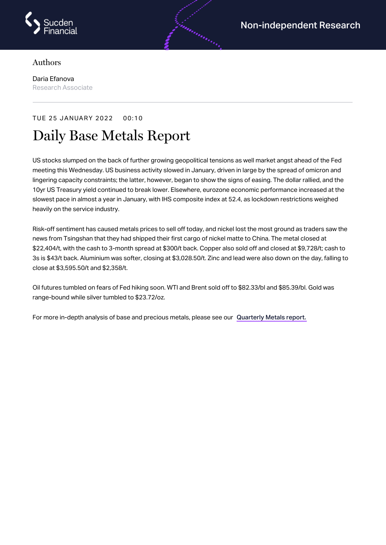

## Authors

Daria Efanova Research Associate

## TUE 25 JANUARY 2022 00:10

## Daily Base Metals Report

US stocks slumped on the back of further growing geopolitical tensions as well market angst ahead of the Fed meeting this Wednesday. US business activity slowed in January, driven in large by the spread of omicron and lingering capacity constraints; the latter, however, began to show the signs of easing. The dollar rallied, and the 10yr US Treasury yield continued to break lower. Elsewhere, eurozone economic performance increased at the slowest pace in almost a year in January, with IHS composite index at 52.4, as lockdown restrictions weighed heavily on the service industry.

Risk-off sentiment has caused metals prices to sell off today, and nickel lost the most ground as traders saw the news from Tsingshan that they had shipped their first cargo of nickel matte to China. The metal closed at \$22,404/t, with the cash to 3-month spread at \$300/t back. Copper also sold off and closed at \$9,728/t; cash to 3s is \$43/t back. Aluminium was softer, closing at \$3,028.50/t. Zinc and lead were also down on the day, falling to close at \$3,595.50/t and \$2,358/t.

Oil futures tumbled on fears of Fed hiking soon. WTI and Brent sold off to \$82.33/bl and \$85.39/bl. Gold was range-bound while silver tumbled to \$23.72/oz.

For more in-depth analysis of base and precious metals, please see our [Quarterly](https://www.sucdenfinancial.com/en/reports/quarterly-metals/qmr-q4-2021/) Metals report.